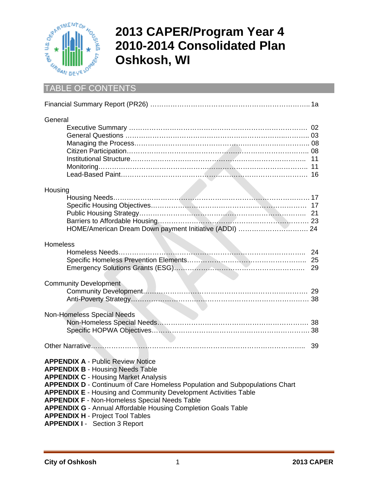

# **2013 CAPER/Program Year 4 2010-2014 Consolidated Plan Oshkosh, WI**

## TABLE OF CONTENTS

| General                                                                                                                                                                                                                                                                                                                                                                                                                                                                                                               |    |
|-----------------------------------------------------------------------------------------------------------------------------------------------------------------------------------------------------------------------------------------------------------------------------------------------------------------------------------------------------------------------------------------------------------------------------------------------------------------------------------------------------------------------|----|
| Housing                                                                                                                                                                                                                                                                                                                                                                                                                                                                                                               |    |
| Homeless                                                                                                                                                                                                                                                                                                                                                                                                                                                                                                              | 29 |
| <b>Community Development</b>                                                                                                                                                                                                                                                                                                                                                                                                                                                                                          |    |
| Non-Homeless Special Needs                                                                                                                                                                                                                                                                                                                                                                                                                                                                                            |    |
|                                                                                                                                                                                                                                                                                                                                                                                                                                                                                                                       | 39 |
| <b>APPENDIX A - Public Review Notice</b><br><b>APPENDIX B - Housing Needs Table</b><br><b>APPENDIX C - Housing Market Analysis</b><br><b>APPENDIX D - Continuum of Care Homeless Population and Subpopulations Chart</b><br><b>APPENDIX E - Housing and Community Development Activities Table</b><br><b>APPENDIX F - Non-Homeless Special Needs Table</b><br><b>APPENDIX G - Annual Affordable Housing Completion Goals Table</b><br><b>APPENDIX H - Project Tool Tables</b><br><b>APPENDIX I - Section 3 Report</b> |    |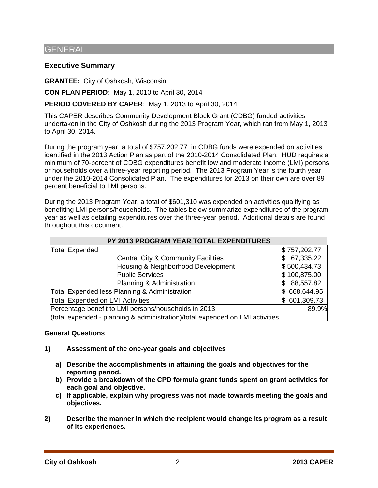## GENERAL

## **Executive Summary**

**GRANTEE:** City of Oshkosh, Wisconsin

**CON PLAN PERIOD:** May 1, 2010 to April 30, 2014

## **PERIOD COVERED BY CAPER**: May 1, 2013 to April 30, 2014

This CAPER describes Community Development Block Grant (CDBG) funded activities undertaken in the City of Oshkosh during the 2013 Program Year, which ran from May 1, 2013 to April 30, 2014.

During the program year, a total of \$757,202.77 in CDBG funds were expended on activities identified in the 2013 Action Plan as part of the 2010-2014 Consolidated Plan. HUD requires a minimum of 70-percent of CDBG expenditures benefit low and moderate income (LMI) persons or households over a three-year reporting period. The 2013 Program Year is the fourth year under the 2010-2014 Consolidated Plan. The expenditures for 2013 on their own are over 89 percent beneficial to LMI persons.

During the 2013 Program Year, a total of \$601,310 was expended on activities qualifying as benefiting LMI persons/households. The tables below summarize expenditures of the program year as well as detailing expenditures over the three-year period. Additional details are found throughout this document.

| PY 2013 PROGRAM YEAR TOTAL EXPENDITURES                                       |  |              |  |  |
|-------------------------------------------------------------------------------|--|--------------|--|--|
| <b>Total Expended</b>                                                         |  | \$757,202.77 |  |  |
| <b>Central City &amp; Community Facilities</b>                                |  | 67,335.22    |  |  |
| Housing & Neighborhood Development                                            |  | \$500,434.73 |  |  |
| <b>Public Services</b>                                                        |  | \$100,875.00 |  |  |
| Planning & Administration                                                     |  | 88,557.82    |  |  |
| Total Expended less Planning & Administration                                 |  | \$668,644.95 |  |  |
| <b>Total Expended on LMI Activities</b>                                       |  | \$601,309.73 |  |  |
| Percentage benefit to LMI persons/households in 2013                          |  | 89.9%        |  |  |
| (total expended - planning & administration)/total expended on LMI activities |  |              |  |  |

#### **General Questions**

- **1) Assessment of the one-year goals and objectives** 
	- **a) Describe the accomplishments in attaining the goals and objectives for the reporting period.**
	- **b) Provide a breakdown of the CPD formula grant funds spent on grant activities for each goal and objective.**
	- **c) If applicable, explain why progress was not made towards meeting the goals and objectives.**
- **2) Describe the manner in which the recipient would change its program as a result of its experiences.**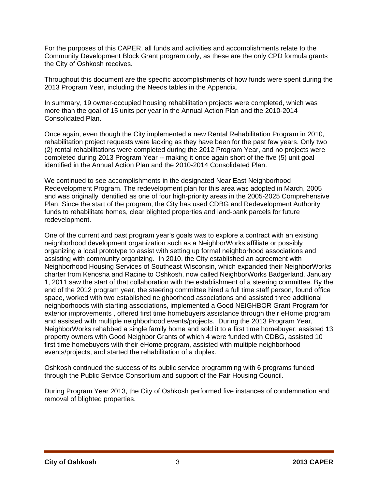For the purposes of this CAPER, all funds and activities and accomplishments relate to the Community Development Block Grant program only, as these are the only CPD formula grants the City of Oshkosh receives.

Throughout this document are the specific accomplishments of how funds were spent during the 2013 Program Year, including the Needs tables in the Appendix.

In summary, 19 owner-occupied housing rehabilitation projects were completed, which was more than the goal of 15 units per year in the Annual Action Plan and the 2010-2014 Consolidated Plan.

Once again, even though the City implemented a new Rental Rehabilitation Program in 2010, rehabilitation project requests were lacking as they have been for the past few years. Only two (2) rental rehabilitations were completed during the 2012 Program Year, and no projects were completed during 2013 Program Year -- making it once again short of the five (5) unit goal identified in the Annual Action Plan and the 2010-2014 Consolidated Plan.

We continued to see accomplishments in the designated Near East Neighborhood Redevelopment Program. The redevelopment plan for this area was adopted in March, 2005 and was originally identified as one of four high-priority areas in the 2005-2025 Comprehensive Plan. Since the start of the program, the City has used CDBG and Redevelopment Authority funds to rehabilitate homes, clear blighted properties and land-bank parcels for future redevelopment.

One of the current and past program year's goals was to explore a contract with an existing neighborhood development organization such as a NeighborWorks affiliate or possibly organizing a local prototype to assist with setting up formal neighborhood associations and assisting with community organizing. In 2010, the City established an agreement with Neighborhood Housing Services of Southeast Wisconsin, which expanded their NeighborWorks charter from Kenosha and Racine to Oshkosh, now called NeighborWorks Badgerland. January 1, 2011 saw the start of that collaboration with the establishment of a steering committee. By the end of the 2012 program year, the steering committee hired a full time staff person, found office space, worked with two established neighborhood associations and assisted three additional neighborhoods with starting associations, implemented a Good NEIGHBOR Grant Program for exterior improvements , offered first time homebuyers assistance through their eHome program and assisted with multiple neighborhood events/projects. During the 2013 Program Year, NeighborWorks rehabbed a single family home and sold it to a first time homebuyer; assisted 13 property owners with Good Neighbor Grants of which 4 were funded with CDBG, assisted 10 first time homebuyers with their eHome program, assisted with multiple neighborhood events/projects, and started the rehabilitation of a duplex.

Oshkosh continued the success of its public service programming with 6 programs funded through the Public Service Consortium and support of the Fair Housing Council.

During Program Year 2013, the City of Oshkosh performed five instances of condemnation and removal of blighted properties.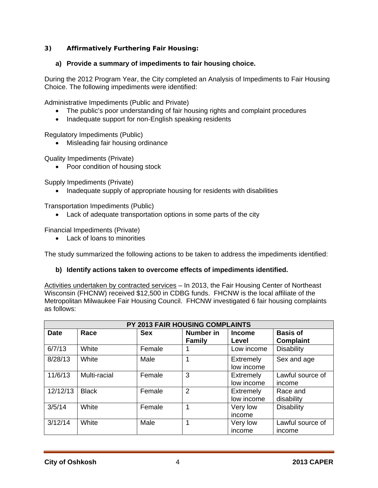## **3) Affirmatively Furthering Fair Housing:**

## **a) Provide a summary of impediments to fair housing choice.**

During the 2012 Program Year, the City completed an Analysis of Impediments to Fair Housing Choice. The following impediments were identified:

Administrative Impediments (Public and Private)

- The public's poor understanding of fair housing rights and complaint procedures
- Inadequate support for non-English speaking residents

Regulatory Impediments (Public)

• Misleading fair housing ordinance

Quality Impediments (Private)

• Poor condition of housing stock

Supply Impediments (Private)

• Inadequate supply of appropriate housing for residents with disabilities

Transportation Impediments (Public)

Lack of adequate transportation options in some parts of the city

Financial Impediments (Private)

Lack of loans to minorities

The study summarized the following actions to be taken to address the impediments identified:

## **b) Identify actions taken to overcome effects of impediments identified.**

Activities undertaken by contracted services – In 2013, the Fair Housing Center of Northeast Wisconsin (FHCNW) received \$12,500 in CDBG funds. FHCNW is the local affiliate of the Metropolitan Milwaukee Fair Housing Council. FHCNW investigated 6 fair housing complaints as follows:

| PY 2013 FAIR HOUSING COMPLAINTS |              |            |                            |                         |                              |
|---------------------------------|--------------|------------|----------------------------|-------------------------|------------------------------|
| <b>Date</b>                     | Race         | <b>Sex</b> | Number in<br><b>Family</b> | <b>Income</b><br>Level  | <b>Basis of</b><br>Complaint |
| 6/7/13                          | White        | Female     |                            | Low income              | <b>Disability</b>            |
| 8/28/13                         | White        | Male       |                            | Extremely<br>low income | Sex and age                  |
| 11/6/13                         | Multi-racial | Female     | 3                          | Extremely<br>low income | Lawful source of<br>income   |
| 12/12/13                        | <b>Black</b> | Female     | $\overline{2}$             | Extremely<br>low income | Race and<br>disability       |
| 3/5/14                          | White        | Female     |                            | Very low<br>income      | <b>Disability</b>            |
| 3/12/14                         | White        | Male       |                            | Very low<br>income      | Lawful source of<br>income   |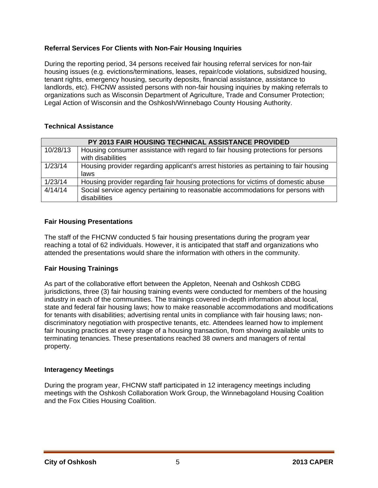## **Referral Services For Clients with Non-Fair Housing Inquiries**

During the reporting period, 34 persons received fair housing referral services for non-fair housing issues (e.g. evictions/terminations, leases, repair/code violations, subsidized housing, tenant rights, emergency housing, security deposits, financial assistance, assistance to landlords, etc). FHCNW assisted persons with non-fair housing inquiries by making referrals to organizations such as Wisconsin Department of Agriculture, Trade and Consumer Protection; Legal Action of Wisconsin and the Oshkosh/Winnebago County Housing Authority.

## **Technical Assistance**

|          | PY 2013 FAIR HOUSING TECHNICAL ASSISTANCE PROVIDED                                    |
|----------|---------------------------------------------------------------------------------------|
| 10/28/13 | Housing consumer assistance with regard to fair housing protections for persons       |
|          | with disabilities                                                                     |
| 1/23/14  | Housing provider regarding applicant's arrest histories as pertaining to fair housing |
|          | laws                                                                                  |
| 1/23/14  | Housing provider regarding fair housing protections for victims of domestic abuse     |
| 4/14/14  | Social service agency pertaining to reasonable accommodations for persons with        |
|          | disabilities                                                                          |

#### **Fair Housing Presentations**

The staff of the FHCNW conducted 5 fair housing presentations during the program year reaching a total of 62 individuals. However, it is anticipated that staff and organizations who attended the presentations would share the information with others in the community.

## **Fair Housing Trainings**

As part of the collaborative effort between the Appleton, Neenah and Oshkosh CDBG jurisdictions, three (3) fair housing training events were conducted for members of the housing industry in each of the communities. The trainings covered in-depth information about local, state and federal fair housing laws; how to make reasonable accommodations and modifications for tenants with disabilities; advertising rental units in compliance with fair housing laws; nondiscriminatory negotiation with prospective tenants, etc. Attendees learned how to implement fair housing practices at every stage of a housing transaction, from showing available units to terminating tenancies. These presentations reached 38 owners and managers of rental property.

#### **Interagency Meetings**

During the program year, FHCNW staff participated in 12 interagency meetings including meetings with the Oshkosh Collaboration Work Group, the Winnebagoland Housing Coalition and the Fox Cities Housing Coalition.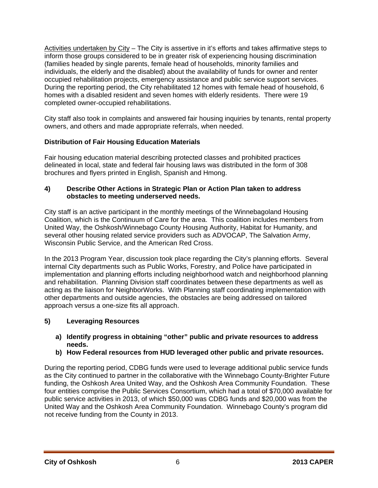Activities undertaken by City - The City is assertive in it's efforts and takes affirmative steps to inform those groups considered to be in greater risk of experiencing housing discrimination (families headed by single parents, female head of households, minority families and individuals, the elderly and the disabled) about the availability of funds for owner and renter occupied rehabilitation projects, emergency assistance and public service support services. During the reporting period, the City rehabilitated 12 homes with female head of household, 6 homes with a disabled resident and seven homes with elderly residents. There were 19 completed owner-occupied rehabilitations.

City staff also took in complaints and answered fair housing inquiries by tenants, rental property owners, and others and made appropriate referrals, when needed.

## **Distribution of Fair Housing Education Materials**

Fair housing education material describing protected classes and prohibited practices delineated in local, state and federal fair housing laws was distributed in the form of 308 brochures and flyers printed in English, Spanish and Hmong.

## **4) Describe Other Actions in Strategic Plan or Action Plan taken to address obstacles to meeting underserved needs.**

City staff is an active participant in the monthly meetings of the Winnebagoland Housing Coalition, which is the Continuum of Care for the area. This coalition includes members from United Way, the Oshkosh/Winnebago County Housing Authority, Habitat for Humanity, and several other housing related service providers such as ADVOCAP, The Salvation Army, Wisconsin Public Service, and the American Red Cross.

In the 2013 Program Year, discussion took place regarding the City's planning efforts. Several internal City departments such as Public Works, Forestry, and Police have participated in implementation and planning efforts including neighborhood watch and neighborhood planning and rehabilitation. Planning Division staff coordinates between these departments as well as acting as the liaison for NeighborWorks. With Planning staff coordinating implementation with other departments and outside agencies, the obstacles are being addressed on tailored approach versus a one-size fits all approach.

## **5) Leveraging Resources**

- **a) Identify progress in obtaining "other" public and private resources to address needs.**
- **b) How Federal resources from HUD leveraged other public and private resources.**

During the reporting period, CDBG funds were used to leverage additional public service funds as the City continued to partner in the collaborative with the Winnebago County-Brighter Future funding, the Oshkosh Area United Way, and the Oshkosh Area Community Foundation. These four entities comprise the Public Services Consortium, which had a total of \$70,000 available for public service activities in 2013, of which \$50,000 was CDBG funds and \$20,000 was from the United Way and the Oshkosh Area Community Foundation. Winnebago County's program did not receive funding from the County in 2013.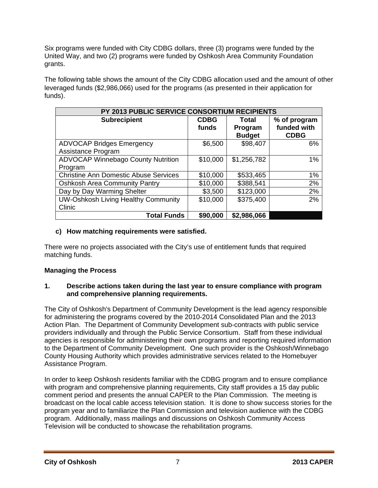Six programs were funded with City CDBG dollars, three (3) programs were funded by the United Way, and two (2) programs were funded by Oshkosh Area Community Foundation grants.

The following table shows the amount of the City CDBG allocation used and the amount of other leveraged funds (\$2,986,066) used for the programs (as presented in their application for funds).

| PY 2013 PUBLIC SERVICE CONSORTIUM RECIPIENTS           |                      |                                   |                                            |  |  |  |
|--------------------------------------------------------|----------------------|-----------------------------------|--------------------------------------------|--|--|--|
| <b>Subrecipient</b>                                    | <b>CDBG</b><br>funds | Total<br>Program<br><b>Budget</b> | % of program<br>funded with<br><b>CDBG</b> |  |  |  |
| <b>ADVOCAP Bridges Emergency</b><br>Assistance Program | \$6,500              | \$98,407                          | 6%                                         |  |  |  |
| <b>ADVOCAP Winnebago County Nutrition</b><br>Program   | \$10,000             | \$1,256,782                       | 1%                                         |  |  |  |
| <b>Christine Ann Domestic Abuse Services</b>           | \$10,000             | \$533,465                         | 1%                                         |  |  |  |
| <b>Oshkosh Area Community Pantry</b>                   | \$10,000             | \$388,541                         | 2%                                         |  |  |  |
| Day by Day Warming Shelter                             | \$3,500              | \$123,000                         | 2%                                         |  |  |  |
| <b>UW-Oshkosh Living Healthy Community</b><br>Clinic   | \$10,000             | \$375,400                         | 2%                                         |  |  |  |
| <b>Total Funds</b>                                     | \$90,000             | \$2,986,066                       |                                            |  |  |  |

## **c) How matching requirements were satisfied.**

There were no projects associated with the City's use of entitlement funds that required matching funds.

## **Managing the Process**

## **1. Describe actions taken during the last year to ensure compliance with program and comprehensive planning requirements.**

The City of Oshkosh's Department of Community Development is the lead agency responsible for administering the programs covered by the 2010-2014 Consolidated Plan and the 2013 Action Plan. The Department of Community Development sub-contracts with public service providers individually and through the Public Service Consortium. Staff from these individual agencies is responsible for administering their own programs and reporting required information to the Department of Community Development. One such provider is the Oshkosh/Winnebago County Housing Authority which provides administrative services related to the Homebuyer Assistance Program.

In order to keep Oshkosh residents familiar with the CDBG program and to ensure compliance with program and comprehensive planning requirements, City staff provides a 15 day public comment period and presents the annual CAPER to the Plan Commission. The meeting is broadcast on the local cable access television station. It is done to show success stories for the program year and to familiarize the Plan Commission and television audience with the CDBG program. Additionally, mass mailings and discussions on Oshkosh Community Access Television will be conducted to showcase the rehabilitation programs.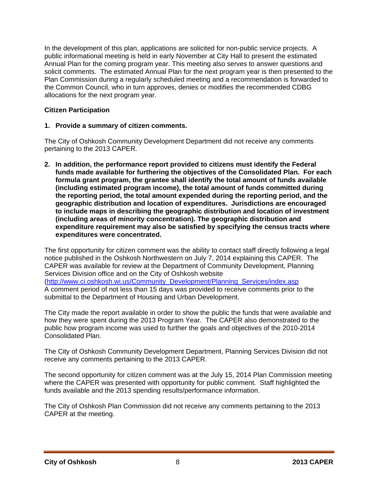In the development of this plan, applications are solicited for non-public service projects. A public informational meeting is held in early November at City Hall to present the estimated Annual Plan for the coming program year. This meeting also serves to answer questions and solicit comments. The estimated Annual Plan for the next program year is then presented to the Plan Commission during a regularly scheduled meeting and a recommendation is forwarded to the Common Council, who in turn approves, denies or modifies the recommended CDBG allocations for the next program year.

## **Citizen Participation**

## **1. Provide a summary of citizen comments.**

The City of Oshkosh Community Development Department did not receive any comments pertaining to the 2013 CAPER.

**2. In addition, the performance report provided to citizens must identify the Federal funds made available for furthering the objectives of the Consolidated Plan. For each formula grant program, the grantee shall identify the total amount of funds available (including estimated program income), the total amount of funds committed during the reporting period, the total amount expended during the reporting period, and the geographic distribution and location of expenditures. Jurisdictions are encouraged to include maps in describing the geographic distribution and location of investment (including areas of minority concentration). The geographic distribution and expenditure requirement may also be satisfied by specifying the census tracts where expenditures were concentrated.** 

The first opportunity for citizen comment was the ability to contact staff directly following a legal notice published in the Oshkosh Northwestern on July 7, 2014 explaining this CAPER. The CAPER was available for review at the Department of Community Development, Planning Services Division office and on the City of Oshkosh website (http://www.ci.oshkosh.wi.us/Community\_Development/Planning\_Services/index.asp

A comment period of not less than 15 days was provided to receive comments prior to the submittal to the Department of Housing and Urban Development.

The City made the report available in order to show the public the funds that were available and how they were spent during the 2013 Program Year. The CAPER also demonstrated to the public how program income was used to further the goals and objectives of the 2010-2014 Consolidated Plan.

The City of Oshkosh Community Development Department, Planning Services Division did not receive any comments pertaining to the 2013 CAPER.

The second opportunity for citizen comment was at the July 15, 2014 Plan Commission meeting where the CAPER was presented with opportunity for public comment. Staff highlighted the funds available and the 2013 spending results/performance information.

The City of Oshkosh Plan Commission did not receive any comments pertaining to the 2013 CAPER at the meeting.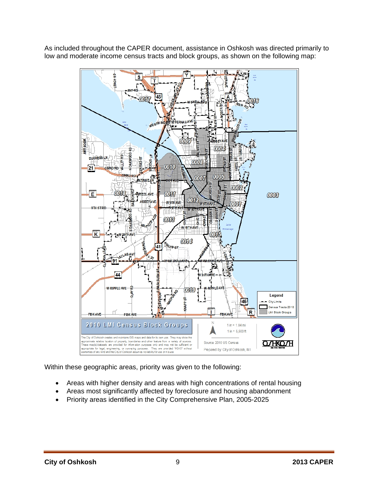

As included throughout the CAPER document, assistance in Oshkosh was directed primarily to low and moderate income census tracts and block groups, as shown on the following map:

Within these geographic areas, priority was given to the following:

- Areas with higher density and areas with high concentrations of rental housing
- Areas most significantly affected by foreclosure and housing abandonment
- Priority areas identified in the City Comprehensive Plan, 2005-2025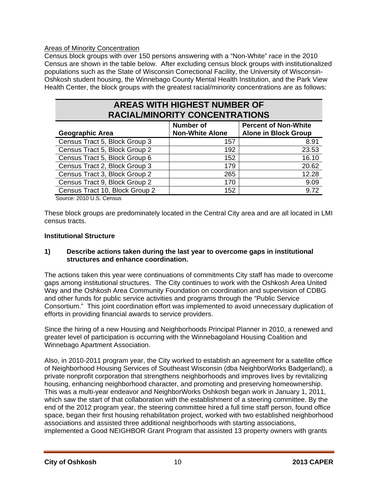## Areas of Minority Concentration

Census block groups with over 150 persons answering with a "Non-White" race in the 2010 Census are shown in the table below. After excluding census block groups with institutionalized populations such as the State of Wisconsin Correctional Facility, the University of Wisconsin-Oshkosh student housing, the Winnebago County Mental Health Institution, and the Park View Health Center, the block groups with the greatest racial/minority concentrations are as follows:

## **AREAS WITH HIGHEST NUMBER OF RACIAL/MINORITY CONCENTRATIONS**

|                                | <b>Number of</b>       | <b>Percent of Non-White</b> |
|--------------------------------|------------------------|-----------------------------|
| <b>Geographic Area</b>         | <b>Non-White Alone</b> | <b>Alone in Block Group</b> |
| Census Tract 5, Block Group 3  | 157                    | 8.91                        |
| Census Tract 5, Block Group 2  | 192                    | 23.53                       |
| Census Tract 5, Block Group 6  | 152                    | 16.10                       |
| Census Tract 2, Block Group 3  | 179                    | 20.62                       |
| Census Tract 3, Block Group 2  | 265                    | 12.28                       |
| Census Tract 9, Block Group 2  | 170                    | 9.09                        |
| Census Tract 10, Block Group 2 | 152                    | 9.72                        |

Source: 2010 U.S. Census

These block groups are predominately located in the Central City area and are all located in LMI census tracts.

## **Institutional Structure**

## **1) Describe actions taken during the last year to overcome gaps in institutional structures and enhance coordination.**

The actions taken this year were continuations of commitments City staff has made to overcome gaps among institutional structures. The City continues to work with the Oshkosh Area United Way and the Oshkosh Area Community Foundation on coordination and supervision of CDBG and other funds for public service activities and programs through the "Public Service Consortium." This joint coordination effort was implemented to avoid unnecessary duplication of efforts in providing financial awards to service providers.

Since the hiring of a new Housing and Neighborhoods Principal Planner in 2010, a renewed and greater level of participation is occurring with the Winnebagoland Housing Coalition and Winnebago Apartment Association.

Also, in 2010-2011 program year, the City worked to establish an agreement for a satellite office of Neighborhood Housing Services of Southeast Wisconsin (dba NeighborWorks Badgerland), a private nonprofit corporation that strengthens neighborhoods and improves lives by revitalizing housing, enhancing neighborhood character, and promoting and preserving homeownership. This was a multi-year endeavor and NeighborWorks Oshkosh began work in January 1, 2011, which saw the start of that collaboration with the establishment of a steering committee. By the end of the 2012 program year, the steering committee hired a full time staff person, found office space, began their first housing rehabilitation project, worked with two established neighborhood associations and assisted three additional neighborhoods with starting associations, implemented a Good NEIGHBOR Grant Program that assisted 13 property owners with grants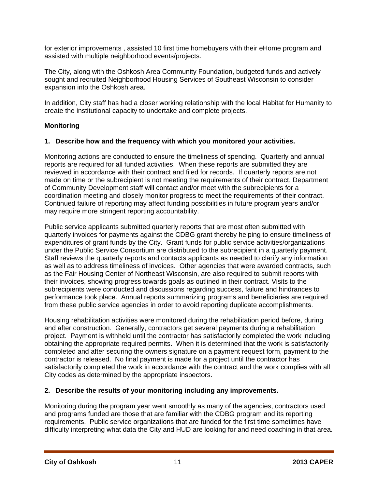for exterior improvements , assisted 10 first time homebuyers with their eHome program and assisted with multiple neighborhood events/projects.

The City, along with the Oshkosh Area Community Foundation, budgeted funds and actively sought and recruited Neighborhood Housing Services of Southeast Wisconsin to consider expansion into the Oshkosh area.

In addition, City staff has had a closer working relationship with the local Habitat for Humanity to create the institutional capacity to undertake and complete projects.

## **Monitoring**

## **1. Describe how and the frequency with which you monitored your activities.**

Monitoring actions are conducted to ensure the timeliness of spending. Quarterly and annual reports are required for all funded activities. When these reports are submitted they are reviewed in accordance with their contract and filed for records. If quarterly reports are not made on time or the subrecipient is not meeting the requirements of their contract, Department of Community Development staff will contact and/or meet with the subrecipients for a coordination meeting and closely monitor progress to meet the requirements of their contract. Continued failure of reporting may affect funding possibilities in future program years and/or may require more stringent reporting accountability.

Public service applicants submitted quarterly reports that are most often submitted with quarterly invoices for payments against the CDBG grant thereby helping to ensure timeliness of expenditures of grant funds by the City. Grant funds for public service activities/organizations under the Public Service Consortium are distributed to the subrecipient in a quarterly payment. Staff reviews the quarterly reports and contacts applicants as needed to clarify any information as well as to address timeliness of invoices. Other agencies that were awarded contracts, such as the Fair Housing Center of Northeast Wisconsin, are also required to submit reports with their invoices, showing progress towards goals as outlined in their contract. Visits to the subrecipients were conducted and discussions regarding success, failure and hindrances to performance took place. Annual reports summarizing programs and beneficiaries are required from these public service agencies in order to avoid reporting duplicate accomplishments.

Housing rehabilitation activities were monitored during the rehabilitation period before, during and after construction. Generally, contractors get several payments during a rehabilitation project. Payment is withheld until the contractor has satisfactorily completed the work including obtaining the appropriate required permits. When it is determined that the work is satisfactorily completed and after securing the owners signature on a payment request form, payment to the contractor is released. No final payment is made for a project until the contractor has satisfactorily completed the work in accordance with the contract and the work complies with all City codes as determined by the appropriate inspectors.

## **2. Describe the results of your monitoring including any improvements.**

Monitoring during the program year went smoothly as many of the agencies, contractors used and programs funded are those that are familiar with the CDBG program and its reporting requirements. Public service organizations that are funded for the first time sometimes have difficulty interpreting what data the City and HUD are looking for and need coaching in that area.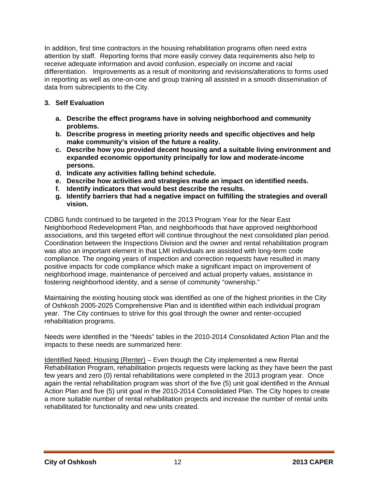In addition, first time contractors in the housing rehabilitation programs often need extra attention by staff. Reporting forms that more easily convey data requirements also help to receive adequate information and avoid confusion, especially on income and racial differentiation. Improvements as a result of monitoring and revisions/alterations to forms used in reporting as well as one-on-one and group training all assisted in a smooth dissemination of data from subrecipients to the City.

## **3. Self Evaluation**

- **a. Describe the effect programs have in solving neighborhood and community problems.**
- **b. Describe progress in meeting priority needs and specific objectives and help make community's vision of the future a reality.**
- **c. Describe how you provided decent housing and a suitable living environment and expanded economic opportunity principally for low and moderate-income persons.**
- **d. Indicate any activities falling behind schedule.**
- **e. Describe how activities and strategies made an impact on identified needs.**
- **f. Identify indicators that would best describe the results.**
- **g. Identify barriers that had a negative impact on fulfilling the strategies and overall vision.**

CDBG funds continued to be targeted in the 2013 Program Year for the Near East Neighborhood Redevelopment Plan, and neighborhoods that have approved neighborhood associations, and this targeted effort will continue throughout the next consolidated plan period. Coordination between the Inspections Division and the owner and rental rehabilitation program was also an important element in that LMI individuals are assisted with long-term code compliance. The ongoing years of inspection and correction requests have resulted in many positive impacts for code compliance which make a significant impact on improvement of neighborhood image, maintenance of perceived and actual property values, assistance in fostering neighborhood identity, and a sense of community "ownership."

Maintaining the existing housing stock was identified as one of the highest priorities in the City of Oshkosh 2005-2025 Comprehensive Plan and is identified within each individual program year. The City continues to strive for this goal through the owner and renter-occupied rehabilitation programs.

Needs were identified in the "Needs" tables in the 2010-2014 Consolidated Action Plan and the impacts to these needs are summarized here:

Identified Need: Housing (Renter) – Even though the City implemented a new Rental Rehabilitation Program, rehabilitation projects requests were lacking as they have been the past few years and zero (0) rental rehabilitations were completed in the 2013 program year. Once again the rental rehabilitation program was short of the five (5) unit goal identified in the Annual Action Plan and five (5) unit goal in the 2010-2014 Consolidated Plan. The City hopes to create a more suitable number of rental rehabilitation projects and increase the number of rental units rehabilitated for functionality and new units created.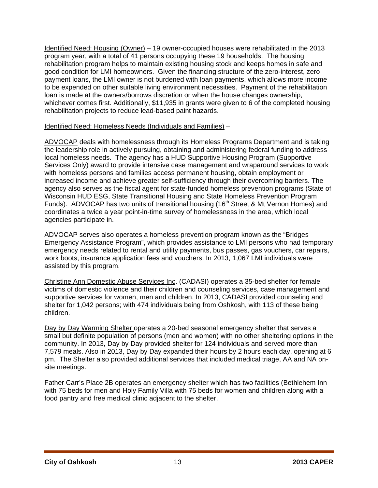Identified Need: Housing (Owner) – 19 owner-occupied houses were rehabilitated in the 2013 program year, with a total of 41 persons occupying these 19 households. The housing rehabilitation program helps to maintain existing housing stock and keeps homes in safe and good condition for LMI homeowners. Given the financing structure of the zero-interest, zero payment loans, the LMI owner is not burdened with loan payments, which allows more income to be expended on other suitable living environment necessities. Payment of the rehabilitation loan is made at the owners/borrows discretion or when the house changes ownership, whichever comes first. Additionally, \$11,935 in grants were given to 6 of the completed housing rehabilitation projects to reduce lead-based paint hazards.

#### Identified Need: Homeless Needs (Individuals and Families) –

ADVOCAP deals with homelessness through its Homeless Programs Department and is taking the leadership role in actively pursuing, obtaining and administering federal funding to address local homeless needs. The agency has a HUD Supportive Housing Program (Supportive Services Only) award to provide intensive case management and wraparound services to work with homeless persons and families access permanent housing, obtain employment or increased income and achieve greater self-sufficiency through their overcoming barriers. The agency also serves as the fiscal agent for state-funded homeless prevention programs (State of Wisconsin HUD ESG, State Transitional Housing and State Homeless Prevention Program Funds). ADVOCAP has two units of transitional housing (16<sup>th</sup> Street & Mt Vernon Homes) and coordinates a twice a year point-in-time survey of homelessness in the area, which local agencies participate in.

ADVOCAP serves also operates a homeless prevention program known as the "Bridges Emergency Assistance Program", which provides assistance to LMI persons who had temporary emergency needs related to rental and utility payments, bus passes, gas vouchers, car repairs, work boots, insurance application fees and vouchers. In 2013, 1,067 LMI individuals were assisted by this program.

Christine Ann Domestic Abuse Services Inc. (CADASI) operates a 35-bed shelter for female victims of domestic violence and their children and counseling services, case management and supportive services for women, men and children. In 2013, CADASI provided counseling and shelter for 1,042 persons; with 474 individuals being from Oshkosh, with 113 of these being children.

Day by Day Warming Shelter operates a 20-bed seasonal emergency shelter that serves a small but definite population of persons (men and women) with no other sheltering options in the community. In 2013, Day by Day provided shelter for 124 individuals and served more than 7,579 meals. Also in 2013, Day by Day expanded their hours by 2 hours each day, opening at 6 pm. The Shelter also provided additional services that included medical triage, AA and NA onsite meetings.

Father Carr's Place 2B operates an emergency shelter which has two facilities (Bethlehem Inn with 75 beds for men and Holy Family Villa with 75 beds for women and children along with a food pantry and free medical clinic adjacent to the shelter.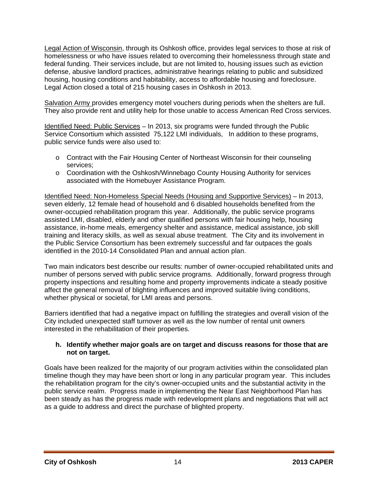Legal Action of Wisconsin, through its Oshkosh office, provides legal services to those at risk of homelessness or who have issues related to overcoming their homelessness through state and federal funding. Their services include, but are not limited to, housing issues such as eviction defense, abusive landlord practices, administrative hearings relating to public and subsidized housing, housing conditions and habitability, access to affordable housing and foreclosure. Legal Action closed a total of 215 housing cases in Oshkosh in 2013.

Salvation Army provides emergency motel vouchers during periods when the shelters are full. They also provide rent and utility help for those unable to access American Red Cross services.

Identified Need: Public Services – In 2013, six programs were funded through the Public Service Consortium which assisted 75,122 LMI individuals, In addition to these programs, public service funds were also used to:

- o Contract with the Fair Housing Center of Northeast Wisconsin for their counseling services;
- o Coordination with the Oshkosh/Winnebago County Housing Authority for services associated with the Homebuyer Assistance Program.

Identified Need: Non-Homeless Special Needs (Housing and Supportive Services) – In 2013, seven elderly, 12 female head of household and 6 disabled households benefited from the owner-occupied rehabilitation program this year. Additionally, the public service programs assisted LMI, disabled, elderly and other qualified persons with fair housing help, housing assistance, in-home meals, emergency shelter and assistance, medical assistance, job skill training and literacy skills, as well as sexual abuse treatment. The City and its involvement in the Public Service Consortium has been extremely successful and far outpaces the goals identified in the 2010-14 Consolidated Plan and annual action plan.

Two main indicators best describe our results: number of owner-occupied rehabilitated units and number of persons served with public service programs. Additionally, forward progress through property inspections and resulting home and property improvements indicate a steady positive affect the general removal of blighting influences and improved suitable living conditions, whether physical or societal, for LMI areas and persons.

Barriers identified that had a negative impact on fulfilling the strategies and overall vision of the City included unexpected staff turnover as well as the low number of rental unit owners interested in the rehabilitation of their properties.

## **h. Identify whether major goals are on target and discuss reasons for those that are not on target.**

Goals have been realized for the majority of our program activities within the consolidated plan timeline though they may have been short or long in any particular program year. This includes the rehabilitation program for the city's owner-occupied units and the substantial activity in the public service realm. Progress made in implementing the Near East Neighborhood Plan has been steady as has the progress made with redevelopment plans and negotiations that will act as a guide to address and direct the purchase of blighted property.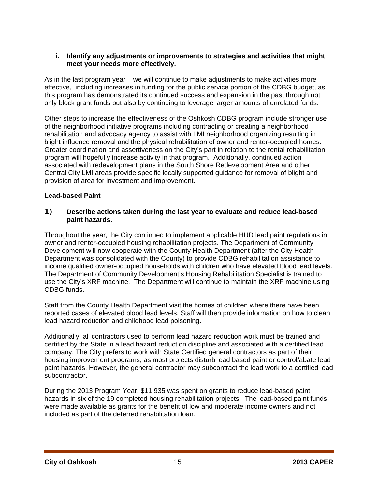#### **i. Identify any adjustments or improvements to strategies and activities that might meet your needs more effectively.**

As in the last program year – we will continue to make adjustments to make activities more effective, including increases in funding for the public service portion of the CDBG budget, as this program has demonstrated its continued success and expansion in the past through not only block grant funds but also by continuing to leverage larger amounts of unrelated funds.

Other steps to increase the effectiveness of the Oshkosh CDBG program include stronger use of the neighborhood initiative programs including contracting or creating a neighborhood rehabilitation and advocacy agency to assist with LMI neighborhood organizing resulting in blight influence removal and the physical rehabilitation of owner and renter-occupied homes. Greater coordination and assertiveness on the City's part in relation to the rental rehabilitation program will hopefully increase activity in that program. Additionally, continued action associated with redevelopment plans in the South Shore Redevelopment Area and other Central City LMI areas provide specific locally supported guidance for removal of blight and provision of area for investment and improvement.

## **Lead-based Paint**

## **1) Describe actions taken during the last year to evaluate and reduce lead-based paint hazards.**

Throughout the year, the City continued to implement applicable HUD lead paint regulations in owner and renter-occupied housing rehabilitation projects. The Department of Community Development will now cooperate with the County Health Department (after the City Health Department was consolidated with the County) to provide CDBG rehabilitation assistance to income qualified owner-occupied households with children who have elevated blood lead levels. The Department of Community Development's Housing Rehabilitation Specialist is trained to use the City's XRF machine. The Department will continue to maintain the XRF machine using CDBG funds.

Staff from the County Health Department visit the homes of children where there have been reported cases of elevated blood lead levels. Staff will then provide information on how to clean lead hazard reduction and childhood lead poisoning.

Additionally, all contractors used to perform lead hazard reduction work must be trained and certified by the State in a lead hazard reduction discipline and associated with a certified lead company. The City prefers to work with State Certified general contractors as part of their housing improvement programs, as most projects disturb lead based paint or control/abate lead paint hazards. However, the general contractor may subcontract the lead work to a certified lead subcontractor.

During the 2013 Program Year, \$11,935 was spent on grants to reduce lead-based paint hazards in six of the 19 completed housing rehabilitation projects. The lead-based paint funds were made available as grants for the benefit of low and moderate income owners and not included as part of the deferred rehabilitation loan.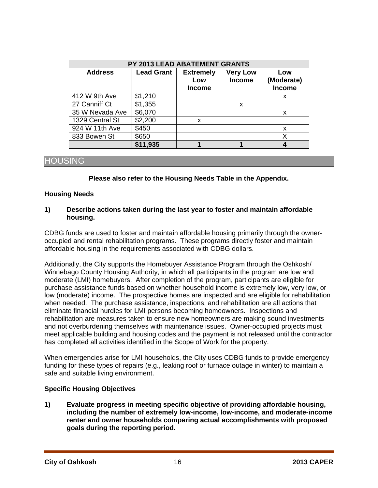| PY 2013 LEAD ABATEMENT GRANTS |                   |                                          |                                  |                                    |  |  |
|-------------------------------|-------------------|------------------------------------------|----------------------------------|------------------------------------|--|--|
| <b>Address</b>                | <b>Lead Grant</b> | <b>Extremely</b><br>Low<br><b>Income</b> | <b>Very Low</b><br><b>Income</b> | Low<br>(Moderate)<br><b>Income</b> |  |  |
| 412 W 9th Ave                 | \$1,210           |                                          |                                  | x                                  |  |  |
| 27 Canniff Ct                 | \$1,355           |                                          | X                                |                                    |  |  |
| 35 W Nevada Ave               | \$6,070           |                                          |                                  | x                                  |  |  |
| 1329 Central St               | \$2,200           | X                                        |                                  |                                    |  |  |
| 924 W 11th Ave                | \$450             |                                          |                                  | x                                  |  |  |
| 833 Bowen St                  | \$650             |                                          |                                  |                                    |  |  |
|                               | \$11,935          |                                          |                                  |                                    |  |  |

## HOUSING

#### **Please also refer to the Housing Needs Table in the Appendix.**

#### **Housing Needs**

#### **1) Describe actions taken during the last year to foster and maintain affordable housing.**

CDBG funds are used to foster and maintain affordable housing primarily through the owneroccupied and rental rehabilitation programs. These programs directly foster and maintain affordable housing in the requirements associated with CDBG dollars.

Additionally, the City supports the Homebuyer Assistance Program through the Oshkosh/ Winnebago County Housing Authority, in which all participants in the program are low and moderate (LMI) homebuyers. After completion of the program, participants are eligible for purchase assistance funds based on whether household income is extremely low, very low, or low (moderate) income. The prospective homes are inspected and are eligible for rehabilitation when needed. The purchase assistance, inspections, and rehabilitation are all actions that eliminate financial hurdles for LMI persons becoming homeowners. Inspections and rehabilitation are measures taken to ensure new homeowners are making sound investments and not overburdening themselves with maintenance issues. Owner-occupied projects must meet applicable building and housing codes and the payment is not released until the contractor has completed all activities identified in the Scope of Work for the property.

When emergencies arise for LMI households, the City uses CDBG funds to provide emergency funding for these types of repairs (e.g., leaking roof or furnace outage in winter) to maintain a safe and suitable living environment.

## **Specific Housing Objectives**

**1) Evaluate progress in meeting specific objective of providing affordable housing, including the number of extremely low-income, low-income, and moderate-income renter and owner households comparing actual accomplishments with proposed goals during the reporting period.**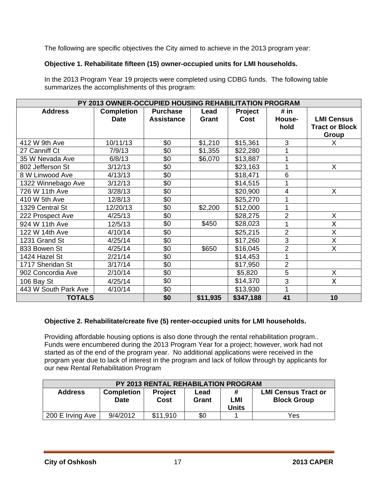The following are specific objectives the City aimed to achieve in the 2013 program year:

## **Objective 1. Rehabilitate fifteen (15) owner-occupied units for LMI households.**

In the 2013 Program Year 19 projects were completed using CDBG funds. The following table summarizes the accomplishments of this program:

|                      | PY 2013 OWNER-OCCUPIED HOUSING REHABILITATION PROGRAM |                   |          |                |                |                       |
|----------------------|-------------------------------------------------------|-------------------|----------|----------------|----------------|-----------------------|
| <b>Address</b>       | <b>Completion</b>                                     | <b>Purchase</b>   | Lead     | <b>Project</b> | # in           |                       |
|                      | <b>Date</b>                                           | <b>Assistance</b> | Grant    | <b>Cost</b>    | House-         | <b>LMI Census</b>     |
|                      |                                                       |                   |          |                | hold           | <b>Tract or Block</b> |
|                      |                                                       |                   |          |                |                | Group                 |
| 412 W 9th Ave        | 10/11/13                                              | \$0               | \$1,210  | \$15,361       | 3              | X.                    |
| 27 Canniff Ct        | 7/9/13                                                | \$0               | \$1,355  | \$22,280       |                |                       |
| 35 W Nevada Ave      | 6/8/13                                                | \$0               | \$6,070  | \$13,887       | 1              |                       |
| 802 Jefferson St     | 3/12/13                                               | \$0               |          | \$23,163       | 1              | $\mathsf{X}$          |
| 8 W Linwood Ave      | 4/13/13                                               | \$0               |          | \$18,471       | 6              |                       |
| 1322 Winnebago Ave   | 3/12/13                                               | \$0               |          | \$14,515       |                |                       |
| 726 W 11th Ave       | 3/28/13                                               | \$0               |          | \$20,900       | 4              | X                     |
| 410 W 5th Ave        | 12/8/13                                               | \$0               |          | \$25,270       |                |                       |
| 1329 Central St      | 12/20/13                                              | $\sqrt[6]{}$      | \$2,200  | \$12,000       | 1              |                       |
| 222 Prospect Ave     | 4/25/13                                               | \$0               |          | \$28,275       | $\overline{2}$ | $\sf X$               |
| 924 W 11th Ave       | 12/5/13                                               | \$0               | \$450    | \$28,023       | 1              | X                     |
| 122 W 14th Ave       | 4/10/14                                               | \$0               |          | \$25,215       | $\overline{2}$ | X                     |
| 1231 Grand St        | 4/25/14                                               | \$0               |          | \$17,260       | $\overline{3}$ | X                     |
| 833 Bowen St         | 4/25/14                                               | \$0               | \$650    | \$16,045       | $\overline{2}$ | X                     |
| 1424 Hazel St        | 2/21/14                                               | \$0               |          | \$14,453       | 1              |                       |
| 1717 Sheridan St     | 3/17/14                                               | \$0               |          | \$17,950       | $\overline{2}$ |                       |
| 902 Concordia Ave    | 2/10/14                                               | \$0               |          | \$5,820        | 5              | X                     |
| 106 Bay St           | 4/25/14                                               | \$0               |          | \$14,370       | 3              | $\mathsf{X}$          |
| 443 W South Park Ave | 4/10/14                                               | \$0               |          | \$13,930       | 1              |                       |
| <b>TOTALS</b>        |                                                       | \$0               | \$11,935 | \$347,188      | 41             | 10                    |

## **Objective 2. Rehabilitate/create five (5) renter-occupied units for LMI households.**

Providing affordable housing options is also done through the rental rehabilitation program.. Funds were encumbered during the 2013 Program Year for a project; however, work had not started as of the end of the program year. No additional applications were received in the program year due to lack of interest in the program and lack of follow through by applicants for our new Rental Rehabilitation Program

| <b>PY 2013 RENTAL REHABILATION PROGRAM</b> |                                  |                        |               |                     |                                                  |
|--------------------------------------------|----------------------------------|------------------------|---------------|---------------------|--------------------------------------------------|
| <b>Address</b>                             | <b>Completion</b><br><b>Date</b> | <b>Project</b><br>Cost | Lead<br>Grant | LMI<br><b>Units</b> | <b>LMI Census Tract or</b><br><b>Block Group</b> |
| 200 E Irving Ave                           | 9/4/2012                         | \$11,910               | \$0           |                     | Yes                                              |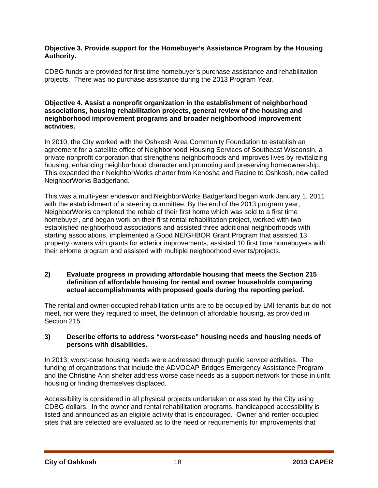## **Objective 3. Provide support for the Homebuyer's Assistance Program by the Housing Authority.**

CDBG funds are provided for first time homebuyer's purchase assistance and rehabilitation projects. There was no purchase assistance during the 2013 Program Year.

#### **Objective 4. Assist a nonprofit organization in the establishment of neighborhood associations, housing rehabilitation projects, general review of the housing and neighborhood improvement programs and broader neighborhood improvement activities.**

In 2010, the City worked with the Oshkosh Area Community Foundation to establish an agreement for a satellite office of Neighborhood Housing Services of Southeast Wisconsin, a private nonprofit corporation that strengthens neighborhoods and improves lives by revitalizing housing, enhancing neighborhood character and promoting and preserving homeownership. This expanded their NeighborWorks charter from Kenosha and Racine to Oshkosh, now called NeighborWorks Badgerland.

This was a multi-year endeavor and NeighborWorks Badgerland began work January 1, 2011 with the establishment of a steering committee. By the end of the 2013 program year, NeighborWorks completed the rehab of their first home which was sold to a first time homebuyer, and began work on their first rental rehabilitation project, worked with two established neighborhood associations and assisted three additional neighborhoods with starting associations, implemented a Good NEIGHBOR Grant Program that assisted 13 property owners with grants for exterior improvements, assisted 10 first time homebuyers with their eHome program and assisted with multiple neighborhood events/projects.

#### **2) Evaluate progress in providing affordable housing that meets the Section 215 definition of affordable housing for rental and owner households comparing actual accomplishments with proposed goals during the reporting period.**

The rental and owner-occupied rehabilitation units are to be occupied by LMI tenants but do not meet, nor were they required to meet, the definition of affordable housing, as provided in Section 215.

## **3) Describe efforts to address "worst-case" housing needs and housing needs of persons with disabilities.**

In 2013, worst-case housing needs were addressed through public service activities. The funding of organizations that include the ADVOCAP Bridges Emergency Assistance Program and the Christine Ann shelter address worse case needs as a support network for those in unfit housing or finding themselves displaced.

Accessibility is considered in all physical projects undertaken or assisted by the City using CDBG dollars. In the owner and rental rehabilitation programs, handicapped accessibility is listed and announced as an eligible activity that is encouraged. Owner and renter-occupied sites that are selected are evaluated as to the need or requirements for improvements that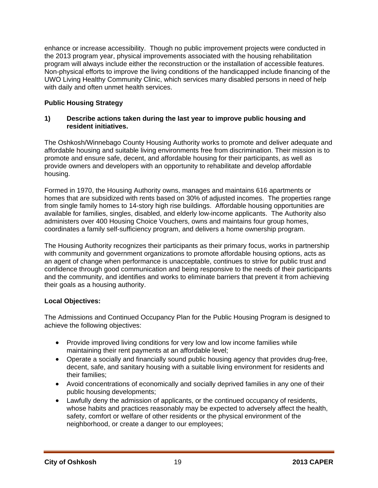enhance or increase accessibility. Though no public improvement projects were conducted in the 2013 program year, physical improvements associated with the housing rehabilitation program will always include either the reconstruction or the installation of accessible features. Non-physical efforts to improve the living conditions of the handicapped include financing of the UWO Living Healthy Community Clinic, which services many disabled persons in need of help with daily and often unmet health services.

## **Public Housing Strategy**

#### **1) Describe actions taken during the last year to improve public housing and resident initiatives.**

The Oshkosh/Winnebago County Housing Authority works to promote and deliver adequate and affordable housing and suitable living environments free from discrimination. Their mission is to promote and ensure safe, decent, and affordable housing for their participants, as well as provide owners and developers with an opportunity to rehabilitate and develop affordable housing.

Formed in 1970, the Housing Authority owns, manages and maintains 616 apartments or homes that are subsidized with rents based on 30% of adjusted incomes. The properties range from single family homes to 14-story high rise buildings. Affordable housing opportunities are available for families, singles, disabled, and elderly low-income applicants. The Authority also administers over 400 Housing Choice Vouchers, owns and maintains four group homes, coordinates a family self-sufficiency program, and delivers a home ownership program.

The Housing Authority recognizes their participants as their primary focus, works in partnership with community and government organizations to promote affordable housing options, acts as an agent of change when performance is unacceptable, continues to strive for public trust and confidence through good communication and being responsive to the needs of their participants and the community, and identifies and works to eliminate barriers that prevent it from achieving their goals as a housing authority.

## **Local Objectives:**

The Admissions and Continued Occupancy Plan for the Public Housing Program is designed to achieve the following objectives:

- Provide improved living conditions for very low and low income families while maintaining their rent payments at an affordable level;
- Operate a socially and financially sound public housing agency that provides drug-free, decent, safe, and sanitary housing with a suitable living environment for residents and their families;
- Avoid concentrations of economically and socially deprived families in any one of their public housing developments;
- Lawfully deny the admission of applicants, or the continued occupancy of residents, whose habits and practices reasonably may be expected to adversely affect the health, safety, comfort or welfare of other residents or the physical environment of the neighborhood, or create a danger to our employees;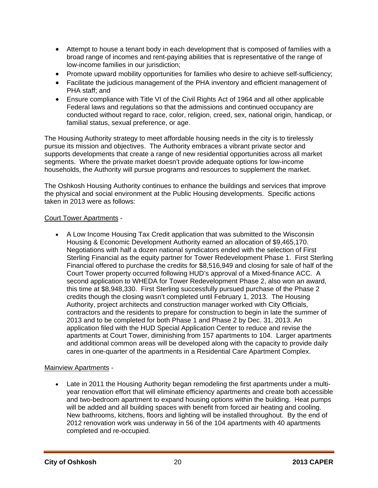- Attempt to house a tenant body in each development that is composed of families with a broad range of incomes and rent-paying abilities that is representative of the range of low-income families in our jurisdiction;
- Promote upward mobility opportunities for families who desire to achieve self-sufficiency;
- Facilitate the judicious management of the PHA inventory and efficient management of PHA staff; and
- Ensure compliance with Title VI of the Civil Rights Act of 1964 and all other applicable Federal laws and regulations so that the admissions and continued occupancy are conducted without regard to race, color, religion, creed, sex, national origin, handicap, or familial status, sexual preference, or age.

The Housing Authority strategy to meet affordable housing needs in the city is to tirelessly pursue its mission and objectives. The Authority embraces a vibrant private sector and supports developments that create a range of new residential opportunities across all market segments. Where the private market doesn't provide adequate options for low-income households, the Authority will pursue programs and resources to supplement the market.

The Oshkosh Housing Authority continues to enhance the buildings and services that improve the physical and social environment at the Public Housing developments. Specific actions taken in 2013 were as follows:

## Court Tower Apartments -

 A Low Income Housing Tax Credit application that was submitted to the Wisconsin Housing & Economic Development Authority earned an allocation of \$9,465,170. Negotiations with half a dozen national syndicators ended with the selection of First Sterling Financial as the equity partner for Tower Redevelopment Phase 1. First Sterling Financial offered to purchase the credits for \$8,516,949 and closing for sale of half of the Court Tower property occurred following HUD's approval of a Mixed-finance ACC. A second application to WHEDA for Tower Redevelopment Phase 2, also won an award, this time at \$8,948,330. First Sterling successfully pursued purchase of the Phase 2 credits though the closing wasn't completed until February 1, 2013. The Housing Authority, project architects and construction manager worked with City Officials, contractors and the residents to prepare for construction to begin in late the summer of 2013 and to be completed for both Phase 1 and Phase 2 by Dec. 31, 2013. An application filed with the HUD Special Application Center to reduce and revise the apartments at Court Tower, diminishing from 157 apartments to 104. Larger apartments and additional common areas will be developed along with the capacity to provide daily cares in one-quarter of the apartments in a Residential Care Apartment Complex.

## Mainview Apartments -

 Late in 2011 the Housing Authority began remodeling the first apartments under a multiyear renovation effort that will eliminate efficiency apartments and create both accessible and two-bedroom apartment to expand housing options within the building. Heat pumps will be added and all building spaces with benefit from forced air heating and cooling. New bathrooms, kitchens, floors and lighting will be installed throughout. By the end of 2012 renovation work was underway in 56 of the 104 apartments with 40 apartments completed and re-occupied.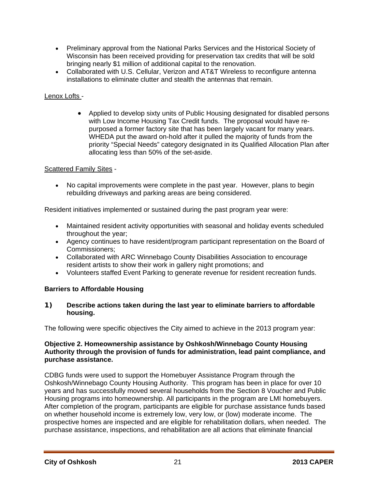- Preliminary approval from the National Parks Services and the Historical Society of Wisconsin has been received providing for preservation tax credits that will be sold bringing nearly \$1 million of additional capital to the renovation.
- Collaborated with U.S. Cellular, Verizon and AT&T Wireless to reconfigure antenna installations to eliminate clutter and stealth the antennas that remain.

## Lenox Lofts -

 Applied to develop sixty units of Public Housing designated for disabled persons with Low Income Housing Tax Credit funds. The proposal would have repurposed a former factory site that has been largely vacant for many years. WHEDA put the award on-hold after it pulled the majority of funds from the priority "Special Needs" category designated in its Qualified Allocation Plan after allocating less than 50% of the set-aside.

## Scattered Family Sites -

 No capital improvements were complete in the past year. However, plans to begin rebuilding driveways and parking areas are being considered.

Resident initiatives implemented or sustained during the past program year were:

- Maintained resident activity opportunities with seasonal and holiday events scheduled throughout the year;
- Agency continues to have resident/program participant representation on the Board of Commissioners;
- Collaborated with ARC Winnebago County Disabilities Association to encourage resident artists to show their work in gallery night promotions; and
- Volunteers staffed Event Parking to generate revenue for resident recreation funds.

## **Barriers to Affordable Housing**

## **1) Describe actions taken during the last year to eliminate barriers to affordable housing.**

The following were specific objectives the City aimed to achieve in the 2013 program year:

#### **Objective 2. Homeownership assistance by Oshkosh/Winnebago County Housing Authority through the provision of funds for administration, lead paint compliance, and purchase assistance.**

CDBG funds were used to support the Homebuyer Assistance Program through the Oshkosh/Winnebago County Housing Authority. This program has been in place for over 10 years and has successfully moved several households from the Section 8 Voucher and Public Housing programs into homeownership. All participants in the program are LMI homebuyers. After completion of the program, participants are eligible for purchase assistance funds based on whether household income is extremely low, very low, or (low) moderate income. The prospective homes are inspected and are eligible for rehabilitation dollars, when needed. The purchase assistance, inspections, and rehabilitation are all actions that eliminate financial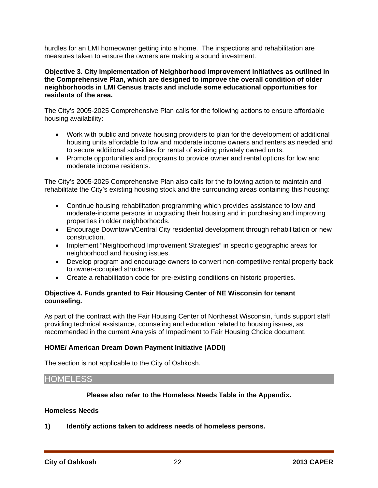hurdles for an LMI homeowner getting into a home. The inspections and rehabilitation are measures taken to ensure the owners are making a sound investment.

#### **Objective 3. City implementation of Neighborhood Improvement initiatives as outlined in the Comprehensive Plan, which are designed to improve the overall condition of older neighborhoods in LMI Census tracts and include some educational opportunities for residents of the area.**

The City's 2005-2025 Comprehensive Plan calls for the following actions to ensure affordable housing availability:

- Work with public and private housing providers to plan for the development of additional housing units affordable to low and moderate income owners and renters as needed and to secure additional subsidies for rental of existing privately owned units.
- Promote opportunities and programs to provide owner and rental options for low and moderate income residents.

The City's 2005-2025 Comprehensive Plan also calls for the following action to maintain and rehabilitate the City's existing housing stock and the surrounding areas containing this housing:

- Continue housing rehabilitation programming which provides assistance to low and moderate-income persons in upgrading their housing and in purchasing and improving properties in older neighborhoods.
- Encourage Downtown/Central City residential development through rehabilitation or new construction.
- Implement "Neighborhood Improvement Strategies" in specific geographic areas for neighborhood and housing issues.
- Develop program and encourage owners to convert non-competitive rental property back to owner-occupied structures.
- Create a rehabilitation code for pre-existing conditions on historic properties.

## **Objective 4. Funds granted to Fair Housing Center of NE Wisconsin for tenant counseling.**

As part of the contract with the Fair Housing Center of Northeast Wisconsin, funds support staff providing technical assistance, counseling and education related to housing issues, as recommended in the current Analysis of Impediment to Fair Housing Choice document.

## **HOME/ American Dream Down Payment Initiative (ADDI)**

The section is not applicable to the City of Oshkosh.

## HOMELESS

## **Please also refer to the Homeless Needs Table in the Appendix.**

#### **Homeless Needs**

**1) Identify actions taken to address needs of homeless persons.**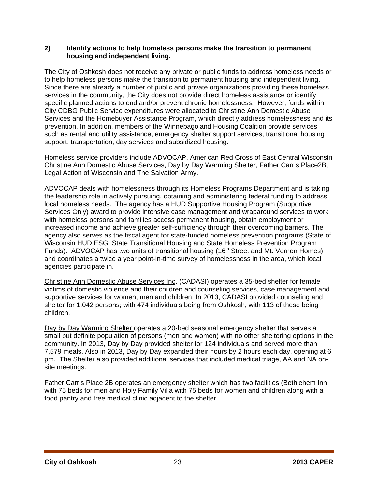## **2) Identify actions to help homeless persons make the transition to permanent housing and independent living.**

The City of Oshkosh does not receive any private or public funds to address homeless needs or to help homeless persons make the transition to permanent housing and independent living. Since there are already a number of public and private organizations providing these homeless services in the community, the City does not provide direct homeless assistance or identify specific planned actions to end and/or prevent chronic homelessness. However, funds within City CDBG Public Service expenditures were allocated to Christine Ann Domestic Abuse Services and the Homebuyer Assistance Program, which directly address homelessness and its prevention. In addition, members of the Winnebagoland Housing Coalition provide services such as rental and utility assistance, emergency shelter support services, transitional housing support, transportation, day services and subsidized housing.

Homeless service providers include ADVOCAP, American Red Cross of East Central Wisconsin Christine Ann Domestic Abuse Services, Day by Day Warming Shelter, Father Carr's Place2B, Legal Action of Wisconsin and The Salvation Army.

ADVOCAP deals with homelessness through its Homeless Programs Department and is taking the leadership role in actively pursuing, obtaining and administering federal funding to address local homeless needs. The agency has a HUD Supportive Housing Program (Supportive Services Only) award to provide intensive case management and wraparound services to work with homeless persons and families access permanent housing, obtain employment or increased income and achieve greater self-sufficiency through their overcoming barriers. The agency also serves as the fiscal agent for state-funded homeless prevention programs (State of Wisconsin HUD ESG, State Transitional Housing and State Homeless Prevention Program Funds). ADVOCAP has two units of transitional housing (16<sup>th</sup> Street and Mt. Vernon Homes) and coordinates a twice a year point-in-time survey of homelessness in the area, which local agencies participate in.

Christine Ann Domestic Abuse Services Inc. (CADASI) operates a 35-bed shelter for female victims of domestic violence and their children and counseling services, case management and supportive services for women, men and children. In 2013, CADASI provided counseling and shelter for 1,042 persons; with 474 individuals being from Oshkosh, with 113 of these being children.

Day by Day Warming Shelter operates a 20-bed seasonal emergency shelter that serves a small but definite population of persons (men and women) with no other sheltering options in the community. In 2013, Day by Day provided shelter for 124 individuals and served more than 7,579 meals. Also in 2013, Day by Day expanded their hours by 2 hours each day, opening at 6 pm. The Shelter also provided additional services that included medical triage, AA and NA onsite meetings.

Father Carr's Place 2B operates an emergency shelter which has two facilities (Bethlehem Inn with 75 beds for men and Holy Family Villa with 75 beds for women and children along with a food pantry and free medical clinic adjacent to the shelter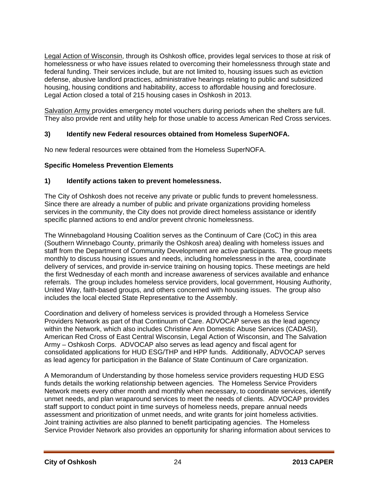Legal Action of Wisconsin, through its Oshkosh office, provides legal services to those at risk of homelessness or who have issues related to overcoming their homelessness through state and federal funding. Their services include, but are not limited to, housing issues such as eviction defense, abusive landlord practices, administrative hearings relating to public and subsidized housing, housing conditions and habitability, access to affordable housing and foreclosure. Legal Action closed a total of 215 housing cases in Oshkosh in 2013.

Salvation Army provides emergency motel vouchers during periods when the shelters are full. They also provide rent and utility help for those unable to access American Red Cross services.

## **3) Identify new Federal resources obtained from Homeless SuperNOFA.**

No new federal resources were obtained from the Homeless SuperNOFA.

## **Specific Homeless Prevention Elements**

## **1) Identify actions taken to prevent homelessness.**

The City of Oshkosh does not receive any private or public funds to prevent homelessness. Since there are already a number of public and private organizations providing homeless services in the community, the City does not provide direct homeless assistance or identify specific planned actions to end and/or prevent chronic homelessness.

The Winnebagoland Housing Coalition serves as the Continuum of Care (CoC) in this area (Southern Winnebago County, primarily the Oshkosh area) dealing with homeless issues and staff from the Department of Community Development are active participants. The group meets monthly to discuss housing issues and needs, including homelessness in the area, coordinate delivery of services, and provide in-service training on housing topics. These meetings are held the first Wednesday of each month and increase awareness of services available and enhance referrals. The group includes homeless service providers, local government, Housing Authority, United Way, faith-based groups, and others concerned with housing issues. The group also includes the local elected State Representative to the Assembly.

Coordination and delivery of homeless services is provided through a Homeless Service Providers Network as part of that Continuum of Care. ADVOCAP serves as the lead agency within the Network, which also includes Christine Ann Domestic Abuse Services (CADASI), American Red Cross of East Central Wisconsin, Legal Action of Wisconsin, and The Salvation Army – Oshkosh Corps. ADVOCAP also serves as lead agency and fiscal agent for consolidated applications for HUD ESG/THP and HPP funds. Additionally, ADVOCAP serves as lead agency for participation in the Balance of State Continuum of Care organization.

A Memorandum of Understanding by those homeless service providers requesting HUD ESG funds details the working relationship between agencies*.* The Homeless Service Providers Network meets every other month and monthly when necessary, to coordinate services, identify unmet needs, and plan wraparound services to meet the needs of clients. ADVOCAP provides staff support to conduct point in time surveys of homeless needs, prepare annual needs assessment and prioritization of unmet needs, and write grants for joint homeless activities. Joint training activities are also planned to benefit participating agencies. The Homeless Service Provider Network also provides an opportunity for sharing information about services to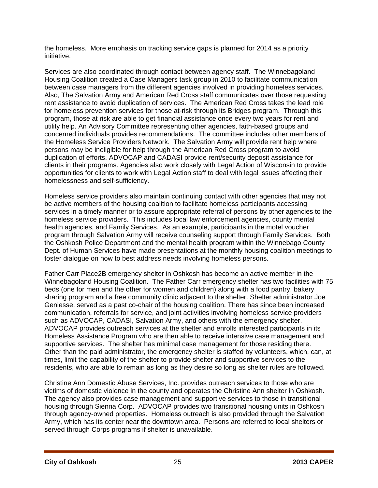the homeless. More emphasis on tracking service gaps is planned for 2014 as a priority initiative.

Services are also coordinated through contact between agency staff. The Winnebagoland Housing Coalition created a Case Managers task group in 2010 to facilitate communication between case managers from the different agencies involved in providing homeless services. Also, The Salvation Army and American Red Cross staff communicates over those requesting rent assistance to avoid duplication of services. The American Red Cross takes the lead role for homeless prevention services for those at-risk through its Bridges program. Through this program, those at risk are able to get financial assistance once every two years for rent and utility help. An Advisory Committee representing other agencies, faith-based groups and concerned individuals provides recommendations. The committee includes other members of the Homeless Service Providers Network. The Salvation Army will provide rent help where persons may be ineligible for help through the American Red Cross program to avoid duplication of efforts. ADVOCAP and CADASI provide rent/security deposit assistance for clients in their programs. Agencies also work closely with Legal Action of Wisconsin to provide opportunities for clients to work with Legal Action staff to deal with legal issues affecting their homelessness and self-sufficiency.

Homeless service providers also maintain continuing contact with other agencies that may not be active members of the housing coalition to facilitate homeless participants accessing services in a timely manner or to assure appropriate referral of persons by other agencies to the homeless service providers. This includes local law enforcement agencies, county mental health agencies, and Family Services. As an example, participants in the motel voucher program through Salvation Army will receive counseling support through Family Services. Both the Oshkosh Police Department and the mental health program within the Winnebago County Dept. of Human Services have made presentations at the monthly housing coalition meetings to foster dialogue on how to best address needs involving homeless persons.

Father Carr Place2B emergency shelter in Oshkosh has become an active member in the Winnebagoland Housing Coalition. The Father Carr emergency shelter has two facilities with 75 beds (one for men and the other for women and children) along with a food pantry, bakery sharing program and a free community clinic adjacent to the shelter. Shelter administrator Joe Geniesse, served as a past co-chair of the housing coalition. There has since been increased communication, referrals for service, and joint activities involving homeless service providers such as ADVOCAP, CADASI, Salvation Army, and others with the emergency shelter. ADVOCAP provides outreach services at the shelter and enrolls interested participants in its Homeless Assistance Program who are then able to receive intensive case management and supportive services. The shelter has minimal case management for those residing there. Other than the paid administrator, the emergency shelter is staffed by volunteers, which, can, at times, limit the capability of the shelter to provide shelter and supportive services to the residents, who are able to remain as long as they desire so long as shelter rules are followed.

Christine Ann Domestic Abuse Services, Inc. provides outreach services to those who are victims of domestic violence in the county and operates the Christine Ann shelter in Oshkosh. The agency also provides case management and supportive services to those in transitional housing through Sienna Corp. ADVOCAP provides two transitional housing units in Oshkosh through agency-owned properties. Homeless outreach is also provided through the Salvation Army, which has its center near the downtown area. Persons are referred to local shelters or served through Corps programs if shelter is unavailable.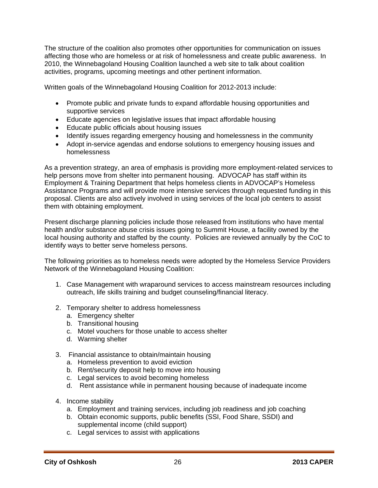The structure of the coalition also promotes other opportunities for communication on issues affecting those who are homeless or at risk of homelessness and create public awareness. In 2010, the Winnebagoland Housing Coalition launched a web site to talk about coalition activities, programs, upcoming meetings and other pertinent information.

Written goals of the Winnebagoland Housing Coalition for 2012-2013 include:

- Promote public and private funds to expand affordable housing opportunities and supportive services
- Educate agencies on legislative issues that impact affordable housing
- Educate public officials about housing issues
- Identify issues regarding emergency housing and homelessness in the community
- Adopt in-service agendas and endorse solutions to emergency housing issues and homelessness

As a prevention strategy, an area of emphasis is providing more employment-related services to help persons move from shelter into permanent housing. ADVOCAP has staff within its Employment & Training Department that helps homeless clients in ADVOCAP's Homeless Assistance Programs and will provide more intensive services through requested funding in this proposal. Clients are also actively involved in using services of the local job centers to assist them with obtaining employment.

Present discharge planning policies include those released from institutions who have mental health and/or substance abuse crisis issues going to Summit House, a facility owned by the local housing authority and staffed by the county. Policies are reviewed annually by the CoC to identify ways to better serve homeless persons.

The following priorities as to homeless needs were adopted by the Homeless Service Providers Network of the Winnebagoland Housing Coalition:

- 1. Case Management with wraparound services to access mainstream resources including outreach, life skills training and budget counseling/financial literacy.
- 2. Temporary shelter to address homelessness
	- a. Emergency shelter
	- b. Transitional housing
	- c. Motel vouchers for those unable to access shelter
	- d. Warming shelter
- 3. Financial assistance to obtain/maintain housing
	- a. Homeless prevention to avoid eviction
	- b. Rent/security deposit help to move into housing
	- c. Legal services to avoid becoming homeless
	- d. Rent assistance while in permanent housing because of inadequate income
- 4. Income stability
	- a. Employment and training services, including job readiness and job coaching
	- b. Obtain economic supports, public benefits (SSI, Food Share, SSDI) and supplemental income (child support)
	- c. Legal services to assist with applications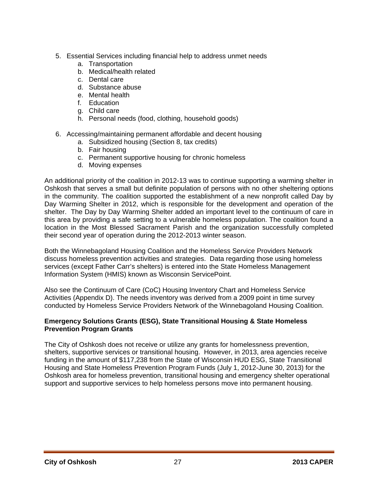- 5. Essential Services including financial help to address unmet needs
	- a. Transportation
	- b. Medical/health related
	- c. Dental care
	- d. Substance abuse
	- e. Mental health
	- f. Education
	- g. Child care
	- h. Personal needs (food, clothing, household goods)
- 6. Accessing/maintaining permanent affordable and decent housing
	- a. Subsidized housing (Section 8, tax credits)
	- b. Fair housing
	- c. Permanent supportive housing for chronic homeless
	- d. Moving expenses

An additional priority of the coalition in 2012-13 was to continue supporting a warming shelter in Oshkosh that serves a small but definite population of persons with no other sheltering options in the community. The coalition supported the establishment of a new nonprofit called Day by Day Warming Shelter in 2012, which is responsible for the development and operation of the shelter. The Day by Day Warming Shelter added an important level to the continuum of care in this area by providing a safe setting to a vulnerable homeless population. The coalition found a location in the Most Blessed Sacrament Parish and the organization successfully completed their second year of operation during the 2012-2013 winter season.

Both the Winnebagoland Housing Coalition and the Homeless Service Providers Network discuss homeless prevention activities and strategies. Data regarding those using homeless services (except Father Carr's shelters) is entered into the State Homeless Management Information System (HMIS) known as Wisconsin ServicePoint.

Also see the Continuum of Care (CoC) Housing Inventory Chart and Homeless Service Activities (Appendix D). The needs inventory was derived from a 2009 point in time survey conducted by Homeless Service Providers Network of the Winnebagoland Housing Coalition.

## **Emergency Solutions Grants (ESG), State Transitional Housing & State Homeless Prevention Program Grants**

The City of Oshkosh does not receive or utilize any grants for homelessness prevention, shelters, supportive services or transitional housing. However, in 2013, area agencies receive funding in the amount of \$117,238 from the State of Wisconsin HUD ESG, State Transitional Housing and State Homeless Prevention Program Funds (July 1, 2012-June 30, 2013) for the Oshkosh area for homeless prevention, transitional housing and emergency shelter operational support and supportive services to help homeless persons move into permanent housing.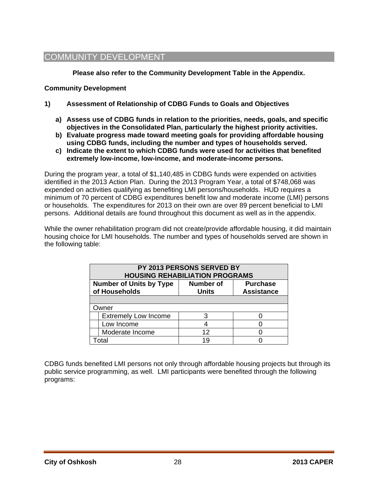## COMMUNITY DEVELOPMENT

**Please also refer to the Community Development Table in the Appendix.** 

## **Community Development**

- **1) Assessment of Relationship of CDBG Funds to Goals and Objectives** 
	- **a) Assess use of CDBG funds in relation to the priorities, needs, goals, and specific objectives in the Consolidated Plan, particularly the highest priority activities.**
	- **b) Evaluate progress made toward meeting goals for providing affordable housing using CDBG funds, including the number and types of households served.**
	- **c) Indicate the extent to which CDBG funds were used for activities that benefited extremely low-income, low-income, and moderate-income persons.**

During the program year, a total of \$1,140,485 in CDBG funds were expended on activities identified in the 2013 Action Plan. During the 2013 Program Year, a total of \$748,068 was expended on activities qualifying as benefiting LMI persons/households. HUD requires a minimum of 70 percent of CDBG expenditures benefit low and moderate income (LMI) persons or households. The expenditures for 2013 on their own are over 89 percent beneficial to LMI persons. Additional details are found throughout this document as well as in the appendix.

While the owner rehabilitation program did not create/provide affordable housing, it did maintain housing choice for LMI households. The number and types of households served are shown in the following table:

| PY 2013 PERSONS SERVED BY<br><b>HOUSING REHABILIATION PROGRAMS</b>                                                          |    |  |  |  |  |
|-----------------------------------------------------------------------------------------------------------------------------|----|--|--|--|--|
| <b>Number of Units by Type</b><br><b>Purchase</b><br><b>Number of</b><br>of Households<br><b>Assistance</b><br><b>Units</b> |    |  |  |  |  |
|                                                                                                                             |    |  |  |  |  |
| Owner                                                                                                                       |    |  |  |  |  |
| <b>Extremely Low Income</b>                                                                                                 |    |  |  |  |  |
| Low Income                                                                                                                  |    |  |  |  |  |
| Moderate Income                                                                                                             | 12 |  |  |  |  |
| Γotal                                                                                                                       | 19 |  |  |  |  |

CDBG funds benefited LMI persons not only through affordable housing projects but through its public service programming, as well. LMI participants were benefited through the following programs: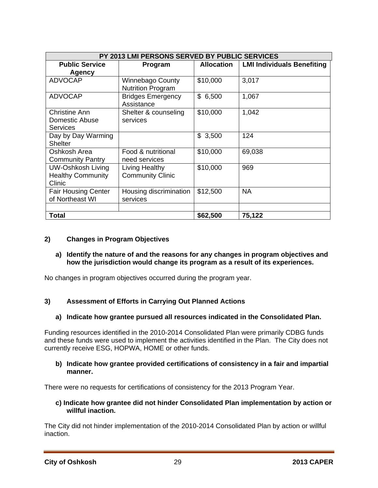| PY 2013 LMI PERSONS SERVED BY PUBLIC SERVICES                  |                                                     |                   |                                   |  |  |
|----------------------------------------------------------------|-----------------------------------------------------|-------------------|-----------------------------------|--|--|
| <b>Public Service</b>                                          | Program                                             | <b>Allocation</b> | <b>LMI Individuals Benefiting</b> |  |  |
| Agency                                                         |                                                     |                   |                                   |  |  |
| <b>ADVOCAP</b>                                                 | <b>Winnebago County</b><br><b>Nutrition Program</b> | \$10,000          | 3,017                             |  |  |
| <b>ADVOCAP</b>                                                 | <b>Bridges Emergency</b><br>Assistance              | \$6,500           | 1,067                             |  |  |
| <b>Christine Ann</b><br>Domestic Abuse<br><b>Services</b>      | Shelter & counseling<br>services                    | \$10,000          | 1,042                             |  |  |
| Day by Day Warming<br><b>Shelter</b>                           |                                                     | \$3,500           | 124                               |  |  |
| Oshkosh Area<br><b>Community Pantry</b>                        | Food & nutritional<br>need services                 | \$10,000          | 69,038                            |  |  |
| <b>UW-Oshkosh Living</b><br><b>Healthy Community</b><br>Clinic | Living Healthy<br><b>Community Clinic</b>           | \$10,000          | 969                               |  |  |
| <b>Fair Housing Center</b><br>of Northeast WI                  | Housing discrimination<br>services                  | \$12,500          | <b>NA</b>                         |  |  |
| <b>Total</b>                                                   |                                                     | \$62,500          | 75,122                            |  |  |

## **2) Changes in Program Objectives**

## **a) Identify the nature of and the reasons for any changes in program objectives and how the jurisdiction would change its program as a result of its experiences.**

No changes in program objectives occurred during the program year.

## **3) Assessment of Efforts in Carrying Out Planned Actions**

## **a) Indicate how grantee pursued all resources indicated in the Consolidated Plan.**

Funding resources identified in the 2010-2014 Consolidated Plan were primarily CDBG funds and these funds were used to implement the activities identified in the Plan. The City does not currently receive ESG, HOPWA, HOME or other funds.

#### **b) Indicate how grantee provided certifications of consistency in a fair and impartial manner.**

There were no requests for certifications of consistency for the 2013 Program Year.

#### **c) Indicate how grantee did not hinder Consolidated Plan implementation by action or willful inaction.**

The City did not hinder implementation of the 2010-2014 Consolidated Plan by action or willful inaction.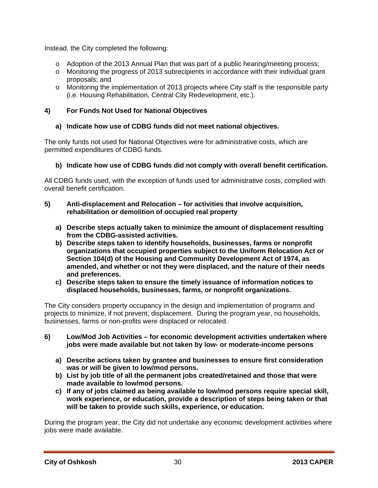Instead, the City completed the following:

- o Adoption of the 2013 Annual Plan that was part of a public hearing/meeting process;
- o Monitoring the progress of 2013 subrecipients in accordance with their individual grant proposals; and
- o Monitoring the implementation of 2013 projects where City staff is the responsible party (i.e. Housing Rehabilitation, Central City Redevelopment, etc.).

## **4) For Funds Not Used for National Objectives**

## **a) Indicate how use of CDBG funds did not meet national objectives.**

The only funds not used for National Objectives were for administrative costs, which are permitted expenditures of CDBG funds.

## **b) Indicate how use of CDBG funds did not comply with overall benefit certification.**

All CDBG funds used, with the exception of funds used for administrative costs, complied with overall benefit certification.

## **5) Anti-displacement and Relocation – for activities that involve acquisition, rehabilitation or demolition of occupied real property**

- **a) Describe steps actually taken to minimize the amount of displacement resulting from the CDBG-assisted activities.**
- **b) Describe steps taken to identify households, businesses, farms or nonprofit organizations that occupied properties subject to the Uniform Relocation Act or Section 104(d) of the Housing and Community Development Act of 1974, as amended, and whether or not they were displaced, and the nature of their needs and preferences.**
- **c) Describe steps taken to ensure the timely issuance of information notices to displaced households, businesses, farms, or nonprofit organizations.**

The City considers property occupancy in the design and implementation of programs and projects to minimize, if not prevent, displacement. During the program year, no households, businesses, farms or non-profits were displaced or relocated.

- **6) Low/Mod Job Activities for economic development activities undertaken where jobs were made available but not taken by low- or moderate-income persons** 
	- **a) Describe actions taken by grantee and businesses to ensure first consideration was or will be given to low/mod persons.**
	- **b) List by job title of all the permanent jobs created/retained and those that were made available to low/mod persons.**
	- **c) If any of jobs claimed as being available to low/mod persons require special skill, work experience, or education, provide a description of steps being taken or that will be taken to provide such skills, experience, or education.**

During the program year, the City did not undertake any economic development activities where jobs were made available.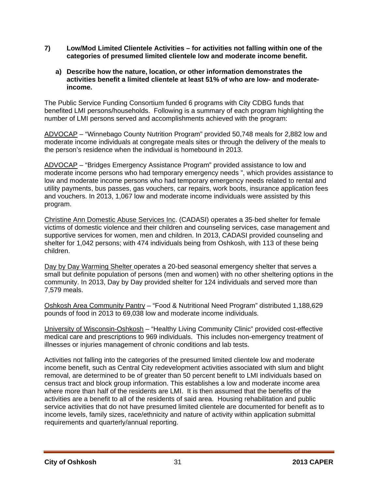- **7) Low/Mod Limited Clientele Activities for activities not falling within one of the categories of presumed limited clientele low and moderate income benefit.** 
	- **a) Describe how the nature, location, or other information demonstrates the activities benefit a limited clientele at least 51% of who are low- and moderateincome.**

The Public Service Funding Consortium funded 6 programs with City CDBG funds that benefited LMI persons/households. Following is a summary of each program highlighting the number of LMI persons served and accomplishments achieved with the program:

ADVOCAP – "Winnebago County Nutrition Program" provided 50,748 meals for 2,882 low and moderate income individuals at congregate meals sites or through the delivery of the meals to the person's residence when the individual is homebound in 2013.

ADVOCAP – "Bridges Emergency Assistance Program" provided assistance to low and moderate income persons who had temporary emergency needs ", which provides assistance to low and moderate income persons who had temporary emergency needs related to rental and utility payments, bus passes, gas vouchers, car repairs, work boots, insurance application fees and vouchers. In 2013, 1,067 low and moderate income individuals were assisted by this program.

Christine Ann Domestic Abuse Services Inc. (CADASI) operates a 35-bed shelter for female victims of domestic violence and their children and counseling services, case management and supportive services for women, men and children. In 2013, CADASI provided counseling and shelter for 1,042 persons; with 474 individuals being from Oshkosh, with 113 of these being children.

Day by Day Warming Shelter operates a 20-bed seasonal emergency shelter that serves a small but definite population of persons (men and women) with no other sheltering options in the community. In 2013, Day by Day provided shelter for 124 individuals and served more than 7,579 meals.

Oshkosh Area Community Pantry – "Food & Nutritional Need Program" distributed 1,188,629 pounds of food in 2013 to 69,038 low and moderate income individuals.

University of Wisconsin-Oshkosh – "Healthy Living Community Clinic" provided cost-effective medical care and prescriptions to 969 individuals. This includes non-emergency treatment of illnesses or injuries management of chronic conditions and lab tests.

Activities not falling into the categories of the presumed limited clientele low and moderate income benefit, such as Central City redevelopment activities associated with slum and blight removal, are determined to be of greater than 50 percent benefit to LMI individuals based on census tract and block group information. This establishes a low and moderate income area where more than half of the residents are LMI. It is then assumed that the benefits of the activities are a benefit to all of the residents of said area. Housing rehabilitation and public service activities that do not have presumed limited clientele are documented for benefit as to income levels, family sizes, race/ethnicity and nature of activity within application submittal requirements and quarterly/annual reporting.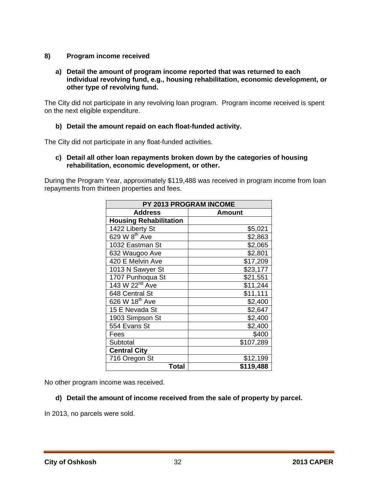## **8) Program income received**

#### **a) Detail the amount of program income reported that was returned to each individual revolving fund, e.g., housing rehabilitation, economic development, or other type of revolving fund.**

The City did not participate in any revolving loan program. Program income received is spent on the next eligible expenditure.

## **b) Detail the amount repaid on each float-funded activity.**

The City did not participate in any float-funded activities.

**c) Detail all other loan repayments broken down by the categories of housing rehabilitation, economic development, or other.** 

During the Program Year, approximately \$119,488 was received in program income from loan repayments from thirteen properties and fees.

| PY 2013 PROGRAM INCOME        |           |  |  |  |
|-------------------------------|-----------|--|--|--|
| <b>Address</b>                | Amount    |  |  |  |
| <b>Housing Rehabilitation</b> |           |  |  |  |
| 1422 Liberty St               | \$5,021   |  |  |  |
| 629 W 8 <sup>th</sup> Ave     | \$2,863   |  |  |  |
| 1032 Eastman St               | \$2,065   |  |  |  |
| 632 Waugoo Ave                | \$2,801   |  |  |  |
| 420 E Melvin Ave              | \$17,209  |  |  |  |
| 1013 N Sawyer St              | \$23,177  |  |  |  |
| 1707 Punhoqua St              | \$21,551  |  |  |  |
| 143 W 22 <sup>nd</sup> Ave    | \$11,244  |  |  |  |
| 648 Central St                | \$11,111  |  |  |  |
| 626 W 18th Ave                | \$2,400   |  |  |  |
| 15 E Nevada St                | \$2,647   |  |  |  |
| 1903 Simpson St               | \$2,400   |  |  |  |
| 554 Evans St                  | \$2,400   |  |  |  |
| Fees                          | \$400     |  |  |  |
| Subtotal                      | \$107,289 |  |  |  |
| <b>Central City</b>           |           |  |  |  |
| 716 Oregon St                 | \$12,199  |  |  |  |
| Total                         | \$119,488 |  |  |  |

No other program income was received.

## **d) Detail the amount of income received from the sale of property by parcel.**

In 2013, no parcels were sold.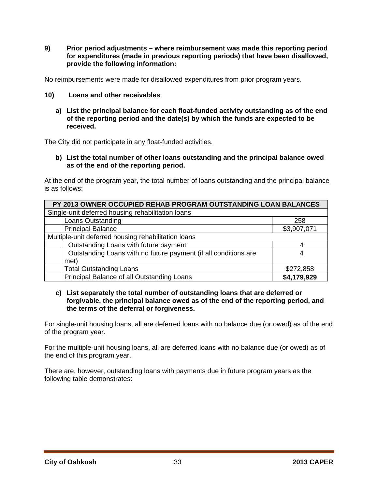**9) Prior period adjustments – where reimbursement was made this reporting period for expenditures (made in previous reporting periods) that have been disallowed, provide the following information:** 

No reimbursements were made for disallowed expenditures from prior program years.

- **10) Loans and other receivables** 
	- **a) List the principal balance for each float-funded activity outstanding as of the end of the reporting period and the date(s) by which the funds are expected to be received.**

The City did not participate in any float-funded activities.

**b) List the total number of other loans outstanding and the principal balance owed as of the end of the reporting period.** 

At the end of the program year, the total number of loans outstanding and the principal balance is as follows:

| PY 2013 OWNER OCCUPIED REHAB PROGRAM OUTSTANDING LOAN BALANCES  |             |  |
|-----------------------------------------------------------------|-------------|--|
| Single-unit deferred housing rehabilitation loans               |             |  |
| <b>Loans Outstanding</b>                                        | 258         |  |
| <b>Principal Balance</b>                                        | \$3,907,071 |  |
| Multiple-unit deferred housing rehabilitation loans             |             |  |
| Outstanding Loans with future payment                           | 4           |  |
| Outstanding Loans with no future payment (if all conditions are | 4           |  |
| met)                                                            |             |  |
| <b>Total Outstanding Loans</b>                                  | \$272,858   |  |
| Principal Balance of all Outstanding Loans                      | \$4,179,929 |  |

#### **c) List separately the total number of outstanding loans that are deferred or forgivable, the principal balance owed as of the end of the reporting period, and the terms of the deferral or forgiveness.**

For single-unit housing loans, all are deferred loans with no balance due (or owed) as of the end of the program year.

For the multiple-unit housing loans, all are deferred loans with no balance due (or owed) as of the end of this program year.

There are, however, outstanding loans with payments due in future program years as the following table demonstrates: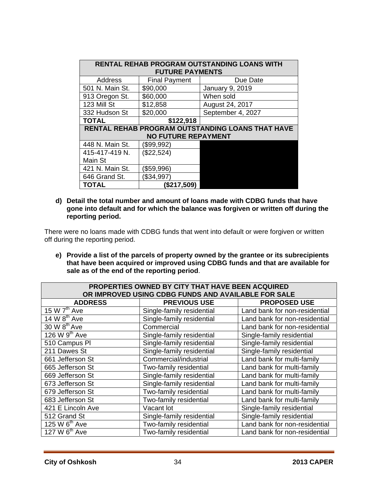| RENTAL REHAB PROGRAM OUTSTANDING LOANS WITH<br><b>FUTURE PAYMENTS</b> |                      |                   |  |  |
|-----------------------------------------------------------------------|----------------------|-------------------|--|--|
| Address                                                               | <b>Final Payment</b> | Due Date          |  |  |
| 501 N. Main St.                                                       | \$90,000             | January 9, 2019   |  |  |
| 913 Oregon St.                                                        | \$60,000             | When sold         |  |  |
| 123 Mill St                                                           | \$12,858             | August 24, 2017   |  |  |
| 332 Hudson St                                                         | \$20,000             | September 4, 2027 |  |  |
| <b>TOTAL</b>                                                          | \$122,918            |                   |  |  |
| RENTAL REHAB PROGRAM OUTSTANDING LOANS THAT HAVE                      |                      |                   |  |  |
| <b>NO FUTURE REPAYMENT</b>                                            |                      |                   |  |  |
| 448 N. Main St.                                                       | (\$99,992)           |                   |  |  |
| 415-417-419 N.                                                        | (\$22,524)           |                   |  |  |
| Main St                                                               |                      |                   |  |  |
| 421 N. Main St.                                                       | (\$59,996)           |                   |  |  |
| 646 Grand St.                                                         | \$34,997             |                   |  |  |
| <b>TOTAL</b>                                                          | (\$217,509)          |                   |  |  |

**d) Detail the total number and amount of loans made with CDBG funds that have gone into default and for which the balance was forgiven or written off during the reporting period.** 

There were no loans made with CDBG funds that went into default or were forgiven or written off during the reporting period.

**e) Provide a list of the parcels of property owned by the grantee or its subrecipients that have been acquired or improved using CDBG funds and that are available for sale as of the end of the reporting period**.

| PROPERTIES OWNED BY CITY THAT HAVE BEEN ACQUIRED    |                           |                               |  |  |
|-----------------------------------------------------|---------------------------|-------------------------------|--|--|
| OR IMPROVED USING CDBG FUNDS AND AVAILABLE FOR SALE |                           |                               |  |  |
| <b>ADDRESS</b>                                      | <b>PREVIOUS USE</b>       | <b>PROPOSED USE</b>           |  |  |
| 15 W $7th$ Ave                                      | Single-family residential | Land bank for non-residential |  |  |
| 14 W $8th$ Ave                                      | Single-family residential | Land bank for non-residential |  |  |
| 30 W 8 <sup>th</sup> Ave                            | Commercial                | Land bank for non-residential |  |  |
| 126 W 9 <sup>th</sup> Ave                           | Single-family residential | Single-family residential     |  |  |
| 510 Campus PI                                       | Single-family residential | Single-family residential     |  |  |
| 211 Dawes St                                        | Single-family residential | Single-family residential     |  |  |
| 661 Jefferson St                                    | Commercial/industrial     | Land bank for multi-family    |  |  |
| 665 Jefferson St                                    | Two-family residential    | Land bank for multi-family    |  |  |
| 669 Jefferson St                                    | Single-family residential | Land bank for multi-family    |  |  |
| 673 Jefferson St                                    | Single-family residential | Land bank for multi-family    |  |  |
| 679 Jefferson St                                    | Two-family residential    | Land bank for multi-family    |  |  |
| 683 Jefferson St                                    | Two-family residential    | Land bank for multi-family    |  |  |
| 421 E Lincoln Ave                                   | Vacant lot                | Single-family residential     |  |  |
| 512 Grand St                                        | Single-family residential | Single-family residential     |  |  |
| 125 W 6 <sup>th</sup> Ave                           | Two-family residential    | Land bank for non-residential |  |  |
| 127 W $6th$ Ave                                     | Two-family residential    | Land bank for non-residential |  |  |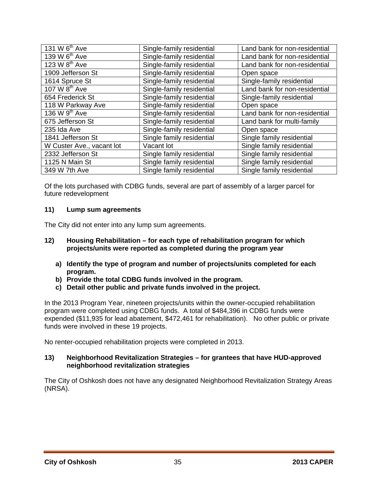| Single-family residential | Land bank for non-residential |
|---------------------------|-------------------------------|
| Single-family residential | Land bank for non-residential |
| Single-family residential | Land bank for non-residential |
| Single-family residential | Open space                    |
| Single-family residential | Single-family residential     |
| Single-family residential | Land bank for non-residential |
| Single-family residential | Single-family residential     |
| Single-family residential | Open space                    |
| Single-family residential | Land bank for non-residential |
| Single-family residential | Land bank for multi-family    |
| Single-family residential | Open space                    |
| Single family residential | Single family residential     |
| Vacant lot                | Single family residential     |
| Single family residential | Single family residential     |
| Single family residential | Single family residential     |
| Single family residential | Single family residential     |
|                           |                               |

Of the lots purchased with CDBG funds, several are part of assembly of a larger parcel for future redevelopment

#### **11) Lump sum agreements**

The City did not enter into any lump sum agreements.

- **12) Housing Rehabilitation for each type of rehabilitation program for which projects/units were reported as completed during the program year** 
	- **a) Identify the type of program and number of projects/units completed for each program.**
	- **b) Provide the total CDBG funds involved in the program.**
	- **c) Detail other public and private funds involved in the project.**

In the 2013 Program Year, nineteen projects/units within the owner-occupied rehabilitation program were completed using CDBG funds. A total of \$484,396 in CDBG funds were expended (\$11,935 for lead abatement, \$472,461 for rehabilitation). No other public or private funds were involved in these 19 projects.

No renter-occupied rehabilitation projects were completed in 2013.

#### **13) Neighborhood Revitalization Strategies – for grantees that have HUD-approved neighborhood revitalization strategies**

The City of Oshkosh does not have any designated Neighborhood Revitalization Strategy Areas (NRSA).